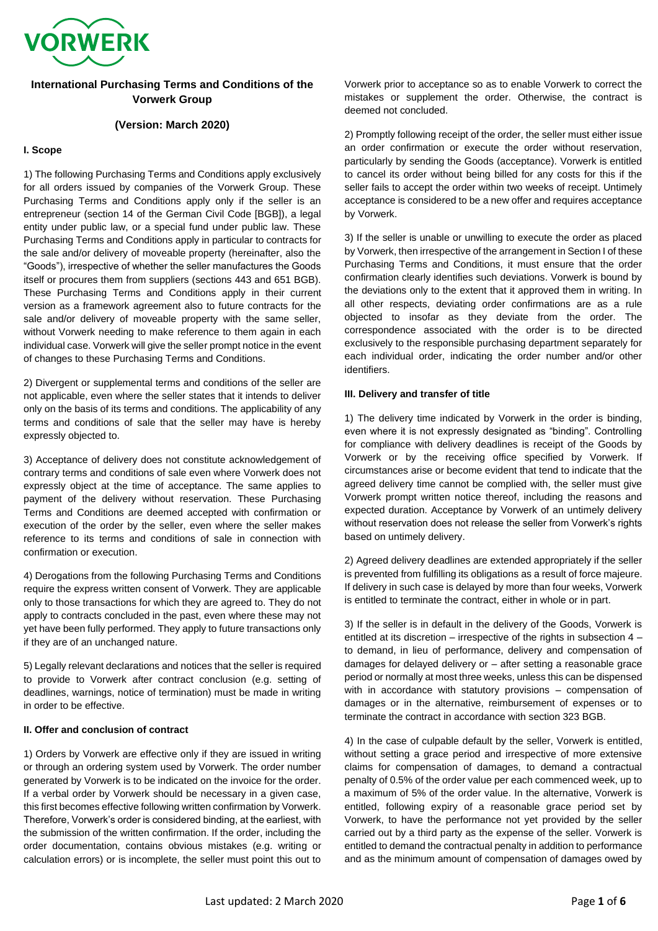

# **International Purchasing Terms and Conditions of the Vorwerk Group**

# **(Version: March 2020)**

### **I. Scope**

1) The following Purchasing Terms and Conditions apply exclusively for all orders issued by companies of the Vorwerk Group. These Purchasing Terms and Conditions apply only if the seller is an entrepreneur (section 14 of the German Civil Code [BGB]), a legal entity under public law, or a special fund under public law. These Purchasing Terms and Conditions apply in particular to contracts for the sale and/or delivery of moveable property (hereinafter, also the "Goods"), irrespective of whether the seller manufactures the Goods itself or procures them from suppliers (sections 443 and 651 BGB). These Purchasing Terms and Conditions apply in their current version as a framework agreement also to future contracts for the sale and/or delivery of moveable property with the same seller, without Vorwerk needing to make reference to them again in each individual case. Vorwerk will give the seller prompt notice in the event of changes to these Purchasing Terms and Conditions.

2) Divergent or supplemental terms and conditions of the seller are not applicable, even where the seller states that it intends to deliver only on the basis of its terms and conditions. The applicability of any terms and conditions of sale that the seller may have is hereby expressly objected to.

3) Acceptance of delivery does not constitute acknowledgement of contrary terms and conditions of sale even where Vorwerk does not expressly object at the time of acceptance. The same applies to payment of the delivery without reservation. These Purchasing Terms and Conditions are deemed accepted with confirmation or execution of the order by the seller, even where the seller makes reference to its terms and conditions of sale in connection with confirmation or execution.

4) Derogations from the following Purchasing Terms and Conditions require the express written consent of Vorwerk. They are applicable only to those transactions for which they are agreed to. They do not apply to contracts concluded in the past, even where these may not yet have been fully performed. They apply to future transactions only if they are of an unchanged nature.

5) Legally relevant declarations and notices that the seller is required to provide to Vorwerk after contract conclusion (e.g. setting of deadlines, warnings, notice of termination) must be made in writing in order to be effective.

### **II. Offer and conclusion of contract**

1) Orders by Vorwerk are effective only if they are issued in writing or through an ordering system used by Vorwerk. The order number generated by Vorwerk is to be indicated on the invoice for the order. If a verbal order by Vorwerk should be necessary in a given case, this first becomes effective following written confirmation by Vorwerk. Therefore, Vorwerk's order is considered binding, at the earliest, with the submission of the written confirmation. If the order, including the order documentation, contains obvious mistakes (e.g. writing or calculation errors) or is incomplete, the seller must point this out to

Vorwerk prior to acceptance so as to enable Vorwerk to correct the mistakes or supplement the order. Otherwise, the contract is deemed not concluded.

2) Promptly following receipt of the order, the seller must either issue an order confirmation or execute the order without reservation, particularly by sending the Goods (acceptance). Vorwerk is entitled to cancel its order without being billed for any costs for this if the seller fails to accept the order within two weeks of receipt. Untimely acceptance is considered to be a new offer and requires acceptance by Vorwerk.

3) If the seller is unable or unwilling to execute the order as placed by Vorwerk, then irrespective of the arrangement in Section I of these Purchasing Terms and Conditions, it must ensure that the order confirmation clearly identifies such deviations. Vorwerk is bound by the deviations only to the extent that it approved them in writing. In all other respects, deviating order confirmations are as a rule objected to insofar as they deviate from the order. The correspondence associated with the order is to be directed exclusively to the responsible purchasing department separately for each individual order, indicating the order number and/or other identifiers.

### **III. Delivery and transfer of title**

1) The delivery time indicated by Vorwerk in the order is binding, even where it is not expressly designated as "binding". Controlling for compliance with delivery deadlines is receipt of the Goods by Vorwerk or by the receiving office specified by Vorwerk. If circumstances arise or become evident that tend to indicate that the agreed delivery time cannot be complied with, the seller must give Vorwerk prompt written notice thereof, including the reasons and expected duration. Acceptance by Vorwerk of an untimely delivery without reservation does not release the seller from Vorwerk's rights based on untimely delivery.

2) Agreed delivery deadlines are extended appropriately if the seller is prevented from fulfilling its obligations as a result of force majeure. If delivery in such case is delayed by more than four weeks, Vorwerk is entitled to terminate the contract, either in whole or in part.

3) If the seller is in default in the delivery of the Goods, Vorwerk is entitled at its discretion – irrespective of the rights in subsection 4 – to demand, in lieu of performance, delivery and compensation of damages for delayed delivery or – after setting a reasonable grace period or normally at most three weeks, unless this can be dispensed with in accordance with statutory provisions – compensation of damages or in the alternative, reimbursement of expenses or to terminate the contract in accordance with section 323 BGB.

4) In the case of culpable default by the seller, Vorwerk is entitled, without setting a grace period and irrespective of more extensive claims for compensation of damages, to demand a contractual penalty of 0.5% of the order value per each commenced week, up to a maximum of 5% of the order value. In the alternative, Vorwerk is entitled, following expiry of a reasonable grace period set by Vorwerk, to have the performance not yet provided by the seller carried out by a third party as the expense of the seller. Vorwerk is entitled to demand the contractual penalty in addition to performance and as the minimum amount of compensation of damages owed by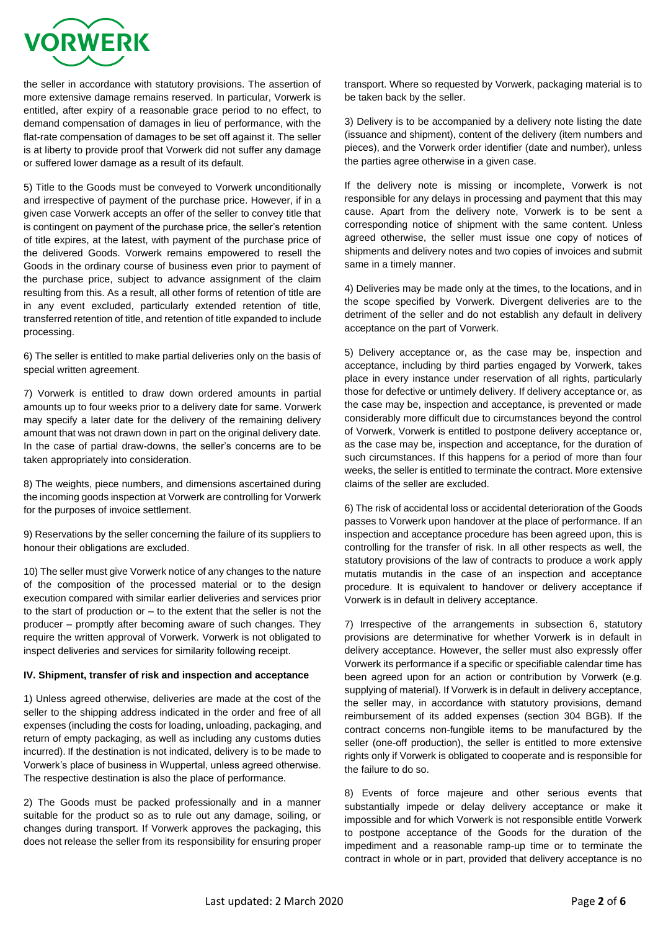

the seller in accordance with statutory provisions. The assertion of more extensive damage remains reserved. In particular, Vorwerk is entitled, after expiry of a reasonable grace period to no effect, to demand compensation of damages in lieu of performance, with the flat-rate compensation of damages to be set off against it. The seller is at liberty to provide proof that Vorwerk did not suffer any damage or suffered lower damage as a result of its default.

5) Title to the Goods must be conveyed to Vorwerk unconditionally and irrespective of payment of the purchase price. However, if in a given case Vorwerk accepts an offer of the seller to convey title that is contingent on payment of the purchase price, the seller's retention of title expires, at the latest, with payment of the purchase price of the delivered Goods. Vorwerk remains empowered to resell the Goods in the ordinary course of business even prior to payment of the purchase price, subject to advance assignment of the claim resulting from this. As a result, all other forms of retention of title are in any event excluded, particularly extended retention of title, transferred retention of title, and retention of title expanded to include processing.

6) The seller is entitled to make partial deliveries only on the basis of special written agreement.

7) Vorwerk is entitled to draw down ordered amounts in partial amounts up to four weeks prior to a delivery date for same. Vorwerk may specify a later date for the delivery of the remaining delivery amount that was not drawn down in part on the original delivery date. In the case of partial draw-downs, the seller's concerns are to be taken appropriately into consideration.

8) The weights, piece numbers, and dimensions ascertained during the incoming goods inspection at Vorwerk are controlling for Vorwerk for the purposes of invoice settlement.

9) Reservations by the seller concerning the failure of its suppliers to honour their obligations are excluded.

10) The seller must give Vorwerk notice of any changes to the nature of the composition of the processed material or to the design execution compared with similar earlier deliveries and services prior to the start of production or – to the extent that the seller is not the producer – promptly after becoming aware of such changes. They require the written approval of Vorwerk. Vorwerk is not obligated to inspect deliveries and services for similarity following receipt.

### **IV. Shipment, transfer of risk and inspection and acceptance**

1) Unless agreed otherwise, deliveries are made at the cost of the seller to the shipping address indicated in the order and free of all expenses (including the costs for loading, unloading, packaging, and return of empty packaging, as well as including any customs duties incurred). If the destination is not indicated, delivery is to be made to Vorwerk's place of business in Wuppertal, unless agreed otherwise. The respective destination is also the place of performance.

2) The Goods must be packed professionally and in a manner suitable for the product so as to rule out any damage, soiling, or changes during transport. If Vorwerk approves the packaging, this does not release the seller from its responsibility for ensuring proper transport. Where so requested by Vorwerk, packaging material is to be taken back by the seller.

3) Delivery is to be accompanied by a delivery note listing the date (issuance and shipment), content of the delivery (item numbers and pieces), and the Vorwerk order identifier (date and number), unless the parties agree otherwise in a given case.

If the delivery note is missing or incomplete, Vorwerk is not responsible for any delays in processing and payment that this may cause. Apart from the delivery note, Vorwerk is to be sent a corresponding notice of shipment with the same content. Unless agreed otherwise, the seller must issue one copy of notices of shipments and delivery notes and two copies of invoices and submit same in a timely manner.

4) Deliveries may be made only at the times, to the locations, and in the scope specified by Vorwerk. Divergent deliveries are to the detriment of the seller and do not establish any default in delivery acceptance on the part of Vorwerk.

5) Delivery acceptance or, as the case may be, inspection and acceptance, including by third parties engaged by Vorwerk, takes place in every instance under reservation of all rights, particularly those for defective or untimely delivery. If delivery acceptance or, as the case may be, inspection and acceptance, is prevented or made considerably more difficult due to circumstances beyond the control of Vorwerk, Vorwerk is entitled to postpone delivery acceptance or, as the case may be, inspection and acceptance, for the duration of such circumstances. If this happens for a period of more than four weeks, the seller is entitled to terminate the contract. More extensive claims of the seller are excluded.

6) The risk of accidental loss or accidental deterioration of the Goods passes to Vorwerk upon handover at the place of performance. If an inspection and acceptance procedure has been agreed upon, this is controlling for the transfer of risk. In all other respects as well, the statutory provisions of the law of contracts to produce a work apply mutatis mutandis in the case of an inspection and acceptance procedure. It is equivalent to handover or delivery acceptance if Vorwerk is in default in delivery acceptance.

7) Irrespective of the arrangements in subsection 6, statutory provisions are determinative for whether Vorwerk is in default in delivery acceptance. However, the seller must also expressly offer Vorwerk its performance if a specific or specifiable calendar time has been agreed upon for an action or contribution by Vorwerk (e.g. supplying of material). If Vorwerk is in default in delivery acceptance, the seller may, in accordance with statutory provisions, demand reimbursement of its added expenses (section 304 BGB). If the contract concerns non-fungible items to be manufactured by the seller (one-off production), the seller is entitled to more extensive rights only if Vorwerk is obligated to cooperate and is responsible for the failure to do so.

8) Events of force majeure and other serious events that substantially impede or delay delivery acceptance or make it impossible and for which Vorwerk is not responsible entitle Vorwerk to postpone acceptance of the Goods for the duration of the impediment and a reasonable ramp-up time or to terminate the contract in whole or in part, provided that delivery acceptance is no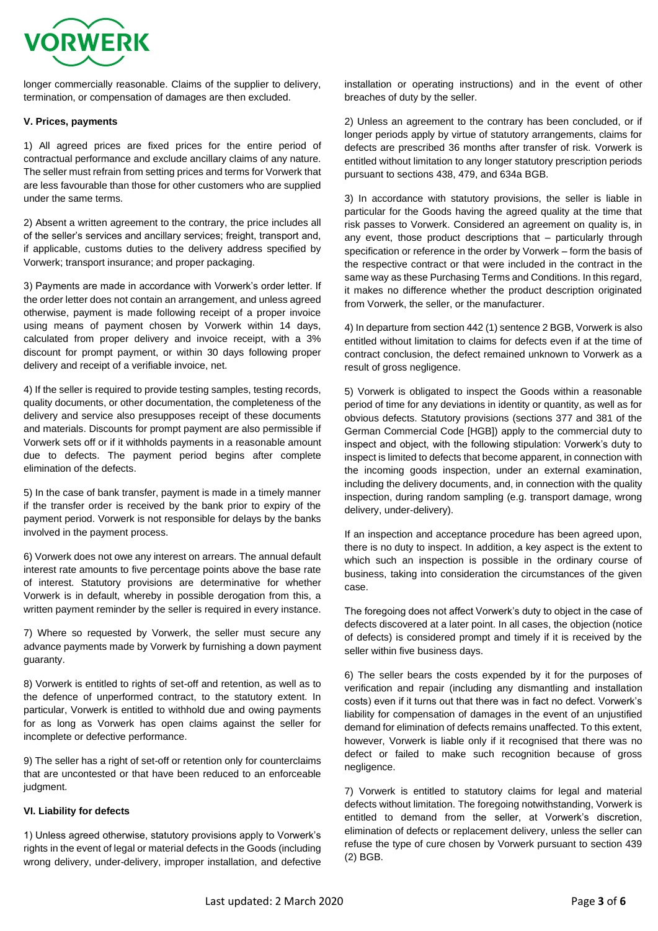

longer commercially reasonable. Claims of the supplier to delivery, termination, or compensation of damages are then excluded.

## **V. Prices, payments**

1) All agreed prices are fixed prices for the entire period of contractual performance and exclude ancillary claims of any nature. The seller must refrain from setting prices and terms for Vorwerk that are less favourable than those for other customers who are supplied under the same terms.

2) Absent a written agreement to the contrary, the price includes all of the seller's services and ancillary services; freight, transport and, if applicable, customs duties to the delivery address specified by Vorwerk; transport insurance; and proper packaging.

3) Payments are made in accordance with Vorwerk's order letter. If the order letter does not contain an arrangement, and unless agreed otherwise, payment is made following receipt of a proper invoice using means of payment chosen by Vorwerk within 14 days, calculated from proper delivery and invoice receipt, with a 3% discount for prompt payment, or within 30 days following proper delivery and receipt of a verifiable invoice, net.

4) If the seller is required to provide testing samples, testing records, quality documents, or other documentation, the completeness of the delivery and service also presupposes receipt of these documents and materials. Discounts for prompt payment are also permissible if Vorwerk sets off or if it withholds payments in a reasonable amount due to defects. The payment period begins after complete elimination of the defects.

5) In the case of bank transfer, payment is made in a timely manner if the transfer order is received by the bank prior to expiry of the payment period. Vorwerk is not responsible for delays by the banks involved in the payment process.

6) Vorwerk does not owe any interest on arrears. The annual default interest rate amounts to five percentage points above the base rate of interest. Statutory provisions are determinative for whether Vorwerk is in default, whereby in possible derogation from this, a written payment reminder by the seller is required in every instance.

7) Where so requested by Vorwerk, the seller must secure any advance payments made by Vorwerk by furnishing a down payment guaranty.

8) Vorwerk is entitled to rights of set-off and retention, as well as to the defence of unperformed contract, to the statutory extent. In particular, Vorwerk is entitled to withhold due and owing payments for as long as Vorwerk has open claims against the seller for incomplete or defective performance.

9) The seller has a right of set-off or retention only for counterclaims that are uncontested or that have been reduced to an enforceable judgment.

### **VI. Liability for defects**

1) Unless agreed otherwise, statutory provisions apply to Vorwerk's rights in the event of legal or material defects in the Goods (including wrong delivery, under-delivery, improper installation, and defective

installation or operating instructions) and in the event of other breaches of duty by the seller.

2) Unless an agreement to the contrary has been concluded, or if longer periods apply by virtue of statutory arrangements, claims for defects are prescribed 36 months after transfer of risk. Vorwerk is entitled without limitation to any longer statutory prescription periods pursuant to sections 438, 479, and 634a BGB.

3) In accordance with statutory provisions, the seller is liable in particular for the Goods having the agreed quality at the time that risk passes to Vorwerk. Considered an agreement on quality is, in any event, those product descriptions that – particularly through specification or reference in the order by Vorwerk – form the basis of the respective contract or that were included in the contract in the same way as these Purchasing Terms and Conditions. In this regard, it makes no difference whether the product description originated from Vorwerk, the seller, or the manufacturer.

4) In departure from section 442 (1) sentence 2 BGB, Vorwerk is also entitled without limitation to claims for defects even if at the time of contract conclusion, the defect remained unknown to Vorwerk as a result of gross negligence.

5) Vorwerk is obligated to inspect the Goods within a reasonable period of time for any deviations in identity or quantity, as well as for obvious defects. Statutory provisions (sections 377 and 381 of the German Commercial Code [HGB]) apply to the commercial duty to inspect and object, with the following stipulation: Vorwerk's duty to inspect is limited to defects that become apparent, in connection with the incoming goods inspection, under an external examination, including the delivery documents, and, in connection with the quality inspection, during random sampling (e.g. transport damage, wrong delivery, under-delivery).

If an inspection and acceptance procedure has been agreed upon, there is no duty to inspect. In addition, a key aspect is the extent to which such an inspection is possible in the ordinary course of business, taking into consideration the circumstances of the given case.

The foregoing does not affect Vorwerk's duty to object in the case of defects discovered at a later point. In all cases, the objection (notice of defects) is considered prompt and timely if it is received by the seller within five business days.

6) The seller bears the costs expended by it for the purposes of verification and repair (including any dismantling and installation costs) even if it turns out that there was in fact no defect. Vorwerk's liability for compensation of damages in the event of an unjustified demand for elimination of defects remains unaffected. To this extent, however, Vorwerk is liable only if it recognised that there was no defect or failed to make such recognition because of gross negligence.

7) Vorwerk is entitled to statutory claims for legal and material defects without limitation. The foregoing notwithstanding, Vorwerk is entitled to demand from the seller, at Vorwerk's discretion, elimination of defects or replacement delivery, unless the seller can refuse the type of cure chosen by Vorwerk pursuant to section 439 (2) BGB.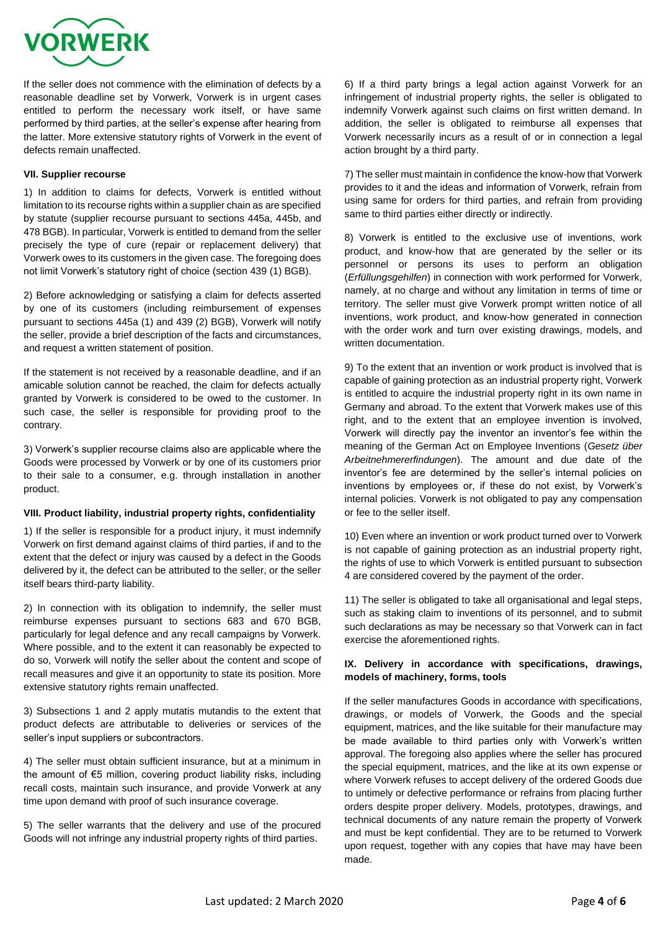

If the seller does not commence with the elimination of defects by a reasonable deadline set by Vorwerk, Vorwerk is in urgent cases entitled to perform the necessary work itself, or have same performed by third parties, at the seller's expense after hearing from the latter. More extensive statutory rights of Vorwerk in the event of defects remain unaffected.

## **VII. Supplier recourse**

1) In addition to claims for defects, Vorwerk is entitled without limitation to its recourse rights within a supplier chain as are specified by statute (supplier recourse pursuant to sections 445a, 445b, and 478 BGB). In particular, Vorwerk is entitled to demand from the seller precisely the type of cure (repair or replacement delivery) that Vorwerk owes to its customers in the given case. The foregoing does not limit Vorwerk's statutory right of choice (section 439 (1) BGB).

2) Before acknowledging or satisfying a claim for defects asserted by one of its customers (including reimbursement of expenses pursuant to sections 445a (1) and 439 (2) BGB), Vorwerk will notify the seller, provide a brief description of the facts and circumstances, and request a written statement of position.

If the statement is not received by a reasonable deadline, and if an amicable solution cannot be reached, the claim for defects actually granted by Vorwerk is considered to be owed to the customer. In such case, the seller is responsible for providing proof to the contrary.

3) Vorwerk's supplier recourse claims also are applicable where the Goods were processed by Vorwerk or by one of its customers prior to their sale to a consumer, e.g. through installation in another product.

## **VIII. Product liability, industrial property rights, confidentiality**

1) If the seller is responsible for a product injury, it must indemnify Vorwerk on first demand against claims of third parties, if and to the extent that the defect or injury was caused by a defect in the Goods delivered by it, the defect can be attributed to the seller, or the seller itself bears third-party liability.

2) In connection with its obligation to indemnify, the seller must reimburse expenses pursuant to sections 683 and 670 BGB, particularly for legal defence and any recall campaigns by Vorwerk. Where possible, and to the extent it can reasonably be expected to do so, Vorwerk will notify the seller about the content and scope of recall measures and give it an opportunity to state its position. More extensive statutory rights remain unaffected.

3) Subsections 1 and 2 apply mutatis mutandis to the extent that product defects are attributable to deliveries or services of the seller's input suppliers or subcontractors.

4) The seller must obtain sufficient insurance, but at a minimum in the amount of €5 million, covering product liability risks, including recall costs, maintain such insurance, and provide Vorwerk at any time upon demand with proof of such insurance coverage.

5) The seller warrants that the delivery and use of the procured Goods will not infringe any industrial property rights of third parties.

6) If a third party brings a legal action against Vorwerk for an infringement of industrial property rights, the seller is obligated to indemnify Vorwerk against such claims on first written demand. In addition, the seller is obligated to reimburse all expenses that Vorwerk necessarily incurs as a result of or in connection a legal action brought by a third party.

7) The seller must maintain in confidence the know-how that Vorwerk provides to it and the ideas and information of Vorwerk, refrain from using same for orders for third parties, and refrain from providing same to third parties either directly or indirectly.

8) Vorwerk is entitled to the exclusive use of inventions, work product, and know-how that are generated by the seller or its personnel or persons its uses to perform an obligation (*Erfüllungsgehilfen*) in connection with work performed for Vorwerk, namely, at no charge and without any limitation in terms of time or territory. The seller must give Vorwerk prompt written notice of all inventions, work product, and know-how generated in connection with the order work and turn over existing drawings, models, and written documentation.

9) To the extent that an invention or work product is involved that is capable of gaining protection as an industrial property right, Vorwerk is entitled to acquire the industrial property right in its own name in Germany and abroad. To the extent that Vorwerk makes use of this right, and to the extent that an employee invention is involved, Vorwerk will directly pay the inventor an inventor's fee within the meaning of the German Act on Employee Inventions (*Gesetz über Arbeitnehmererfindungen*). The amount and due date of the inventor's fee are determined by the seller's internal policies on inventions by employees or, if these do not exist, by Vorwerk's internal policies. Vorwerk is not obligated to pay any compensation or fee to the seller itself.

10) Even where an invention or work product turned over to Vorwerk is not capable of gaining protection as an industrial property right, the rights of use to which Vorwerk is entitled pursuant to subsection 4 are considered covered by the payment of the order.

11) The seller is obligated to take all organisational and legal steps, such as staking claim to inventions of its personnel, and to submit such declarations as may be necessary so that Vorwerk can in fact exercise the aforementioned rights.

# **IX. Delivery in accordance with specifications, drawings, models of machinery, forms, tools**

If the seller manufactures Goods in accordance with specifications, drawings, or models of Vorwerk, the Goods and the special equipment, matrices, and the like suitable for their manufacture may be made available to third parties only with Vorwerk's written approval. The foregoing also applies where the seller has procured the special equipment, matrices, and the like at its own expense or where Vorwerk refuses to accept delivery of the ordered Goods due to untimely or defective performance or refrains from placing further orders despite proper delivery. Models, prototypes, drawings, and technical documents of any nature remain the property of Vorwerk and must be kept confidential. They are to be returned to Vorwerk upon request, together with any copies that have may have been made.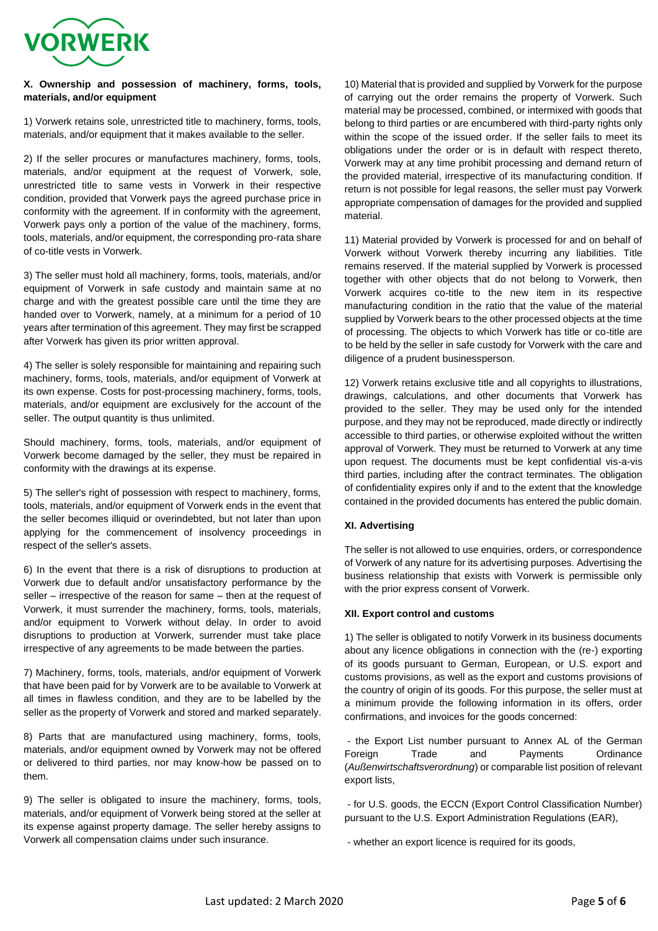

# **X. Ownership and possession of machinery, forms, tools, materials, and/or equipment**

1) Vorwerk retains sole, unrestricted title to machinery, forms, tools, materials, and/or equipment that it makes available to the seller.

2) If the seller procures or manufactures machinery, forms, tools, materials, and/or equipment at the request of Vorwerk, sole, unrestricted title to same vests in Vorwerk in their respective condition, provided that Vorwerk pays the agreed purchase price in conformity with the agreement. If in conformity with the agreement, Vorwerk pays only a portion of the value of the machinery, forms, tools, materials, and/or equipment, the corresponding pro-rata share of co-title vests in Vorwerk.

3) The seller must hold all machinery, forms, tools, materials, and/or equipment of Vorwerk in safe custody and maintain same at no charge and with the greatest possible care until the time they are handed over to Vorwerk, namely, at a minimum for a period of 10 years after termination of this agreement. They may first be scrapped after Vorwerk has given its prior written approval.

4) The seller is solely responsible for maintaining and repairing such machinery, forms, tools, materials, and/or equipment of Vorwerk at its own expense. Costs for post-processing machinery, forms, tools, materials, and/or equipment are exclusively for the account of the seller. The output quantity is thus unlimited.

Should machinery, forms, tools, materials, and/or equipment of Vorwerk become damaged by the seller, they must be repaired in conformity with the drawings at its expense.

5) The seller's right of possession with respect to machinery, forms, tools, materials, and/or equipment of Vorwerk ends in the event that the seller becomes illiquid or overindebted, but not later than upon applying for the commencement of insolvency proceedings in respect of the seller's assets.

6) In the event that there is a risk of disruptions to production at Vorwerk due to default and/or unsatisfactory performance by the seller – irrespective of the reason for same – then at the request of Vorwerk, it must surrender the machinery, forms, tools, materials, and/or equipment to Vorwerk without delay. In order to avoid disruptions to production at Vorwerk, surrender must take place irrespective of any agreements to be made between the parties.

7) Machinery, forms, tools, materials, and/or equipment of Vorwerk that have been paid for by Vorwerk are to be available to Vorwerk at all times in flawless condition, and they are to be labelled by the seller as the property of Vorwerk and stored and marked separately.

8) Parts that are manufactured using machinery, forms, tools, materials, and/or equipment owned by Vorwerk may not be offered or delivered to third parties, nor may know-how be passed on to them.

9) The seller is obligated to insure the machinery, forms, tools, materials, and/or equipment of Vorwerk being stored at the seller at its expense against property damage. The seller hereby assigns to Vorwerk all compensation claims under such insurance.

10) Material that is provided and supplied by Vorwerk for the purpose of carrying out the order remains the property of Vorwerk. Such material may be processed, combined, or intermixed with goods that belong to third parties or are encumbered with third-party rights only within the scope of the issued order. If the seller fails to meet its obligations under the order or is in default with respect thereto, Vorwerk may at any time prohibit processing and demand return of the provided material, irrespective of its manufacturing condition. If return is not possible for legal reasons, the seller must pay Vorwerk appropriate compensation of damages for the provided and supplied material.

11) Material provided by Vorwerk is processed for and on behalf of Vorwerk without Vorwerk thereby incurring any liabilities. Title remains reserved. If the material supplied by Vorwerk is processed together with other objects that do not belong to Vorwerk, then Vorwerk acquires co-title to the new item in its respective manufacturing condition in the ratio that the value of the material supplied by Vorwerk bears to the other processed objects at the time of processing. The objects to which Vorwerk has title or co-title are to be held by the seller in safe custody for Vorwerk with the care and diligence of a prudent businessperson.

12) Vorwerk retains exclusive title and all copyrights to illustrations, drawings, calculations, and other documents that Vorwerk has provided to the seller. They may be used only for the intended purpose, and they may not be reproduced, made directly or indirectly accessible to third parties, or otherwise exploited without the written approval of Vorwerk. They must be returned to Vorwerk at any time upon request. The documents must be kept confidential vis-a-vis third parties, including after the contract terminates. The obligation of confidentiality expires only if and to the extent that the knowledge contained in the provided documents has entered the public domain.

# **XI. Advertising**

The seller is not allowed to use enquiries, orders, or correspondence of Vorwerk of any nature for its advertising purposes. Advertising the business relationship that exists with Vorwerk is permissible only with the prior express consent of Vorwerk.

# **XII. Export control and customs**

1) The seller is obligated to notify Vorwerk in its business documents about any licence obligations in connection with the (re-) exporting of its goods pursuant to German, European, or U.S. export and customs provisions, as well as the export and customs provisions of the country of origin of its goods. For this purpose, the seller must at a minimum provide the following information in its offers, order confirmations, and invoices for the goods concerned:

- the Export List number pursuant to Annex AL of the German Foreign Trade and Payments Ordinance (*Außenwirtschaftsverordnung*) or comparable list position of relevant export lists,

- for U.S. goods, the ECCN (Export Control Classification Number) pursuant to the U.S. Export Administration Regulations (EAR),

- whether an export licence is required for its goods,